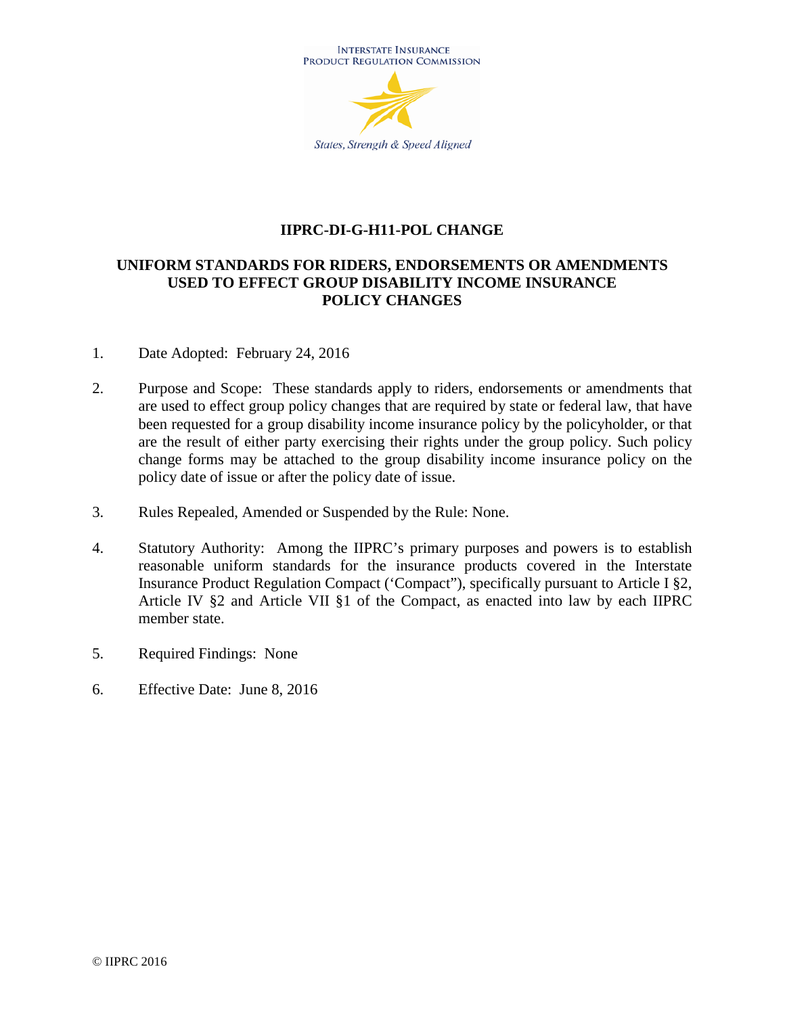

#### **IIPRC-DI-G-H11-POL CHANGE**

## **UNIFORM STANDARDS FOR RIDERS, ENDORSEMENTS OR AMENDMENTS USED TO EFFECT GROUP DISABILITY INCOME INSURANCE POLICY CHANGES**

- 1. Date Adopted: February 24, 2016
- 2. Purpose and Scope: These standards apply to riders, endorsements or amendments that are used to effect group policy changes that are required by state or federal law, that have been requested for a group disability income insurance policy by the policyholder, or that are the result of either party exercising their rights under the group policy. Such policy change forms may be attached to the group disability income insurance policy on the policy date of issue or after the policy date of issue.
- 3. Rules Repealed, Amended or Suspended by the Rule: None.
- 4. Statutory Authority: Among the IIPRC's primary purposes and powers is to establish reasonable uniform standards for the insurance products covered in the Interstate Insurance Product Regulation Compact ('Compact"), specifically pursuant to Article I §2, Article IV §2 and Article VII §1 of the Compact, as enacted into law by each IIPRC member state.
- 5. Required Findings: None
- 6. Effective Date: June 8, 2016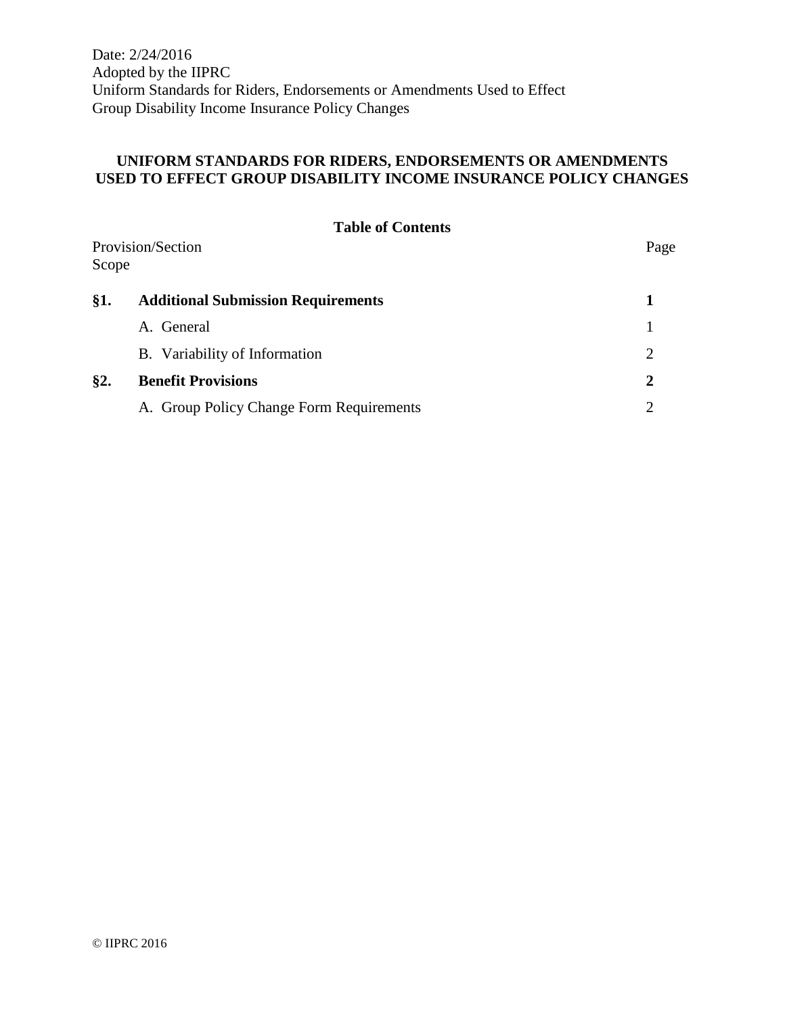Date: 2/24/2016 Adopted by the IIPRC Uniform Standards for Riders, Endorsements or Amendments Used to Effect Group Disability Income Insurance Policy Changes

#### **UNIFORM STANDARDS FOR RIDERS, ENDORSEMENTS OR AMENDMENTS USED TO EFFECT GROUP DISABILITY INCOME INSURANCE POLICY CHANGES**

|       | <b>Table of Contents</b>                  |      |
|-------|-------------------------------------------|------|
| Scope | Provision/Section                         | Page |
| §1.   | <b>Additional Submission Requirements</b> |      |
|       | A. General                                |      |
|       | B. Variability of Information             | 2    |
| §2.   | <b>Benefit Provisions</b>                 | 2    |
|       | A. Group Policy Change Form Requirements  |      |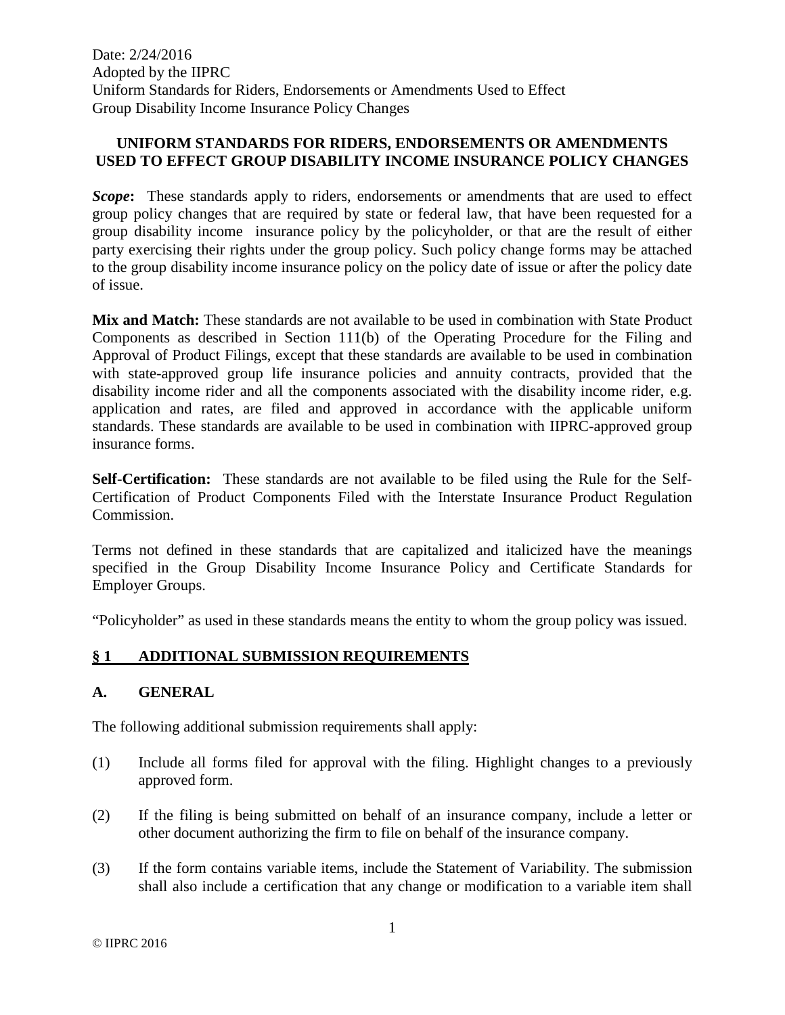Date: 2/24/2016 Adopted by the IIPRC Uniform Standards for Riders, Endorsements or Amendments Used to Effect Group Disability Income Insurance Policy Changes

#### **UNIFORM STANDARDS FOR RIDERS, ENDORSEMENTS OR AMENDMENTS USED TO EFFECT GROUP DISABILITY INCOME INSURANCE POLICY CHANGES**

**Scope:** These standards apply to riders, endorsements or amendments that are used to effect group policy changes that are required by state or federal law, that have been requested for a group disability income insurance policy by the policyholder, or that are the result of either party exercising their rights under the group policy. Such policy change forms may be attached to the group disability income insurance policy on the policy date of issue or after the policy date of issue.

**Mix and Match:** These standards are not available to be used in combination with State Product Components as described in Section 111(b) of the Operating Procedure for the Filing and Approval of Product Filings, except that these standards are available to be used in combination with state-approved group life insurance policies and annuity contracts, provided that the disability income rider and all the components associated with the disability income rider, e.g. application and rates, are filed and approved in accordance with the applicable uniform standards. These standards are available to be used in combination with IIPRC-approved group insurance forms.

**Self-Certification:** These standards are not available to be filed using the Rule for the Self-Certification of Product Components Filed with the Interstate Insurance Product Regulation Commission.

Terms not defined in these standards that are capitalized and italicized have the meanings specified in the Group Disability Income Insurance Policy and Certificate Standards for Employer Groups.

"Policyholder" as used in these standards means the entity to whom the group policy was issued.

## **§ 1 ADDITIONAL SUBMISSION REQUIREMENTS**

## **A. GENERAL**

The following additional submission requirements shall apply:

- (1) Include all forms filed for approval with the filing. Highlight changes to a previously approved form.
- (2) If the filing is being submitted on behalf of an insurance company, include a letter or other document authorizing the firm to file on behalf of the insurance company.
- (3) If the form contains variable items, include the Statement of Variability. The submission shall also include a certification that any change or modification to a variable item shall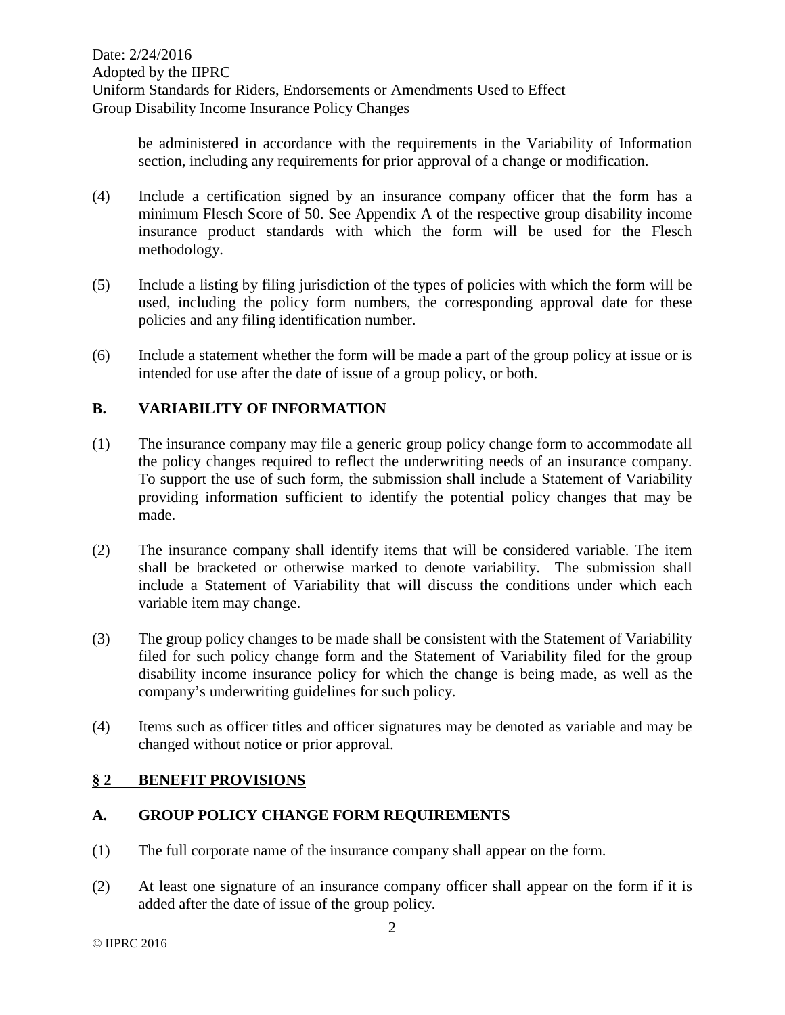be administered in accordance with the requirements in the Variability of Information section, including any requirements for prior approval of a change or modification.

- (4) Include a certification signed by an insurance company officer that the form has a minimum Flesch Score of 50. See Appendix A of the respective group disability income insurance product standards with which the form will be used for the Flesch methodology.
- (5) Include a listing by filing jurisdiction of the types of policies with which the form will be used, including the policy form numbers, the corresponding approval date for these policies and any filing identification number.
- (6) Include a statement whether the form will be made a part of the group policy at issue or is intended for use after the date of issue of a group policy, or both.

# **B. VARIABILITY OF INFORMATION**

- (1) The insurance company may file a generic group policy change form to accommodate all the policy changes required to reflect the underwriting needs of an insurance company. To support the use of such form, the submission shall include a Statement of Variability providing information sufficient to identify the potential policy changes that may be made.
- (2) The insurance company shall identify items that will be considered variable. The item shall be bracketed or otherwise marked to denote variability. The submission shall include a Statement of Variability that will discuss the conditions under which each variable item may change.
- (3) The group policy changes to be made shall be consistent with the Statement of Variability filed for such policy change form and the Statement of Variability filed for the group disability income insurance policy for which the change is being made, as well as the company's underwriting guidelines for such policy.
- (4) Items such as officer titles and officer signatures may be denoted as variable and may be changed without notice or prior approval.

## **§ 2 BENEFIT PROVISIONS**

## **A. GROUP POLICY CHANGE FORM REQUIREMENTS**

- (1) The full corporate name of the insurance company shall appear on the form.
- (2) At least one signature of an insurance company officer shall appear on the form if it is added after the date of issue of the group policy.